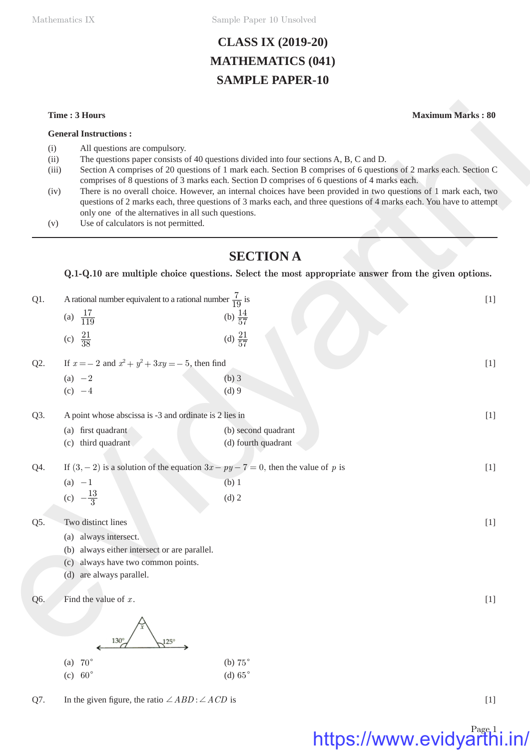Mathematics IX Sample Paper 10 Unsolved

# **CLASS IX (2019-20) MATHEMATICS (041) SAMPLE PAPER-10**

### **General Instructions :**

- (i) All questions are compulsory.
- (ii) The questions paper consists of 40 questions divided into four sections A, B, C and D.
- (iii) Section A comprises of 20 questions of 1 mark each. Section B comprises of 6 questions of 2 marks each. Section C comprises of 8 questions of 3 marks each. Section D comprises of 6 questions of 4 marks each.
- (iv) There is no overall choice. However, an internal choices have been provided in two questions of 1 mark each, two questions of 2 marks each, three questions of 3 marks each, and three questions of 4 marks each. You have to attempt only one of the alternatives in all such questions.
- (v) Use of calculators is not permitted.

# **SECTION A**

## **Q.1-Q.10 are multiple choice questions. Select the most appropriate answer from the given options.**

|                      | Time: 3 Hours                                                                                                                                                                                                                                                                                                                           |                                                                                                                                                                                                                                                                                                                                               | <b>Maximum Marks: 80</b> |  |  |
|----------------------|-----------------------------------------------------------------------------------------------------------------------------------------------------------------------------------------------------------------------------------------------------------------------------------------------------------------------------------------|-----------------------------------------------------------------------------------------------------------------------------------------------------------------------------------------------------------------------------------------------------------------------------------------------------------------------------------------------|--------------------------|--|--|
|                      | <b>General Instructions:</b>                                                                                                                                                                                                                                                                                                            |                                                                                                                                                                                                                                                                                                                                               |                          |  |  |
| (i)<br>(ii)<br>(iii) |                                                                                                                                                                                                                                                                                                                                         | All questions are compulsory.<br>The questions paper consists of 40 questions divided into four sections A, B, C and D.<br>Section A comprises of 20 questions of 1 mark each. Section B comprises of 6 questions of 2 marks each. Section C<br>comprises of 8 questions of 3 marks each. Section D comprises of 6 questions of 4 marks each. |                          |  |  |
| (iv)<br>(v)          | There is no overall choice. However, an internal choices have been provided in two questions of 1 mark each, two<br>questions of 2 marks each, three questions of 3 marks each, and three questions of 4 marks each. You have to attempt<br>only one of the alternatives in all such questions.<br>Use of calculators is not permitted. |                                                                                                                                                                                                                                                                                                                                               |                          |  |  |
|                      |                                                                                                                                                                                                                                                                                                                                         | <b>SECTION A</b>                                                                                                                                                                                                                                                                                                                              |                          |  |  |
|                      |                                                                                                                                                                                                                                                                                                                                         | Q.1-Q.10 are multiple choice questions. Select the most appropriate answer from the given options.                                                                                                                                                                                                                                            |                          |  |  |
| Q1.                  | A rational number equivalent to a rational number $\frac{7}{19}$ is                                                                                                                                                                                                                                                                     |                                                                                                                                                                                                                                                                                                                                               | $[1]$                    |  |  |
|                      | (a) $\frac{17}{119}$                                                                                                                                                                                                                                                                                                                    | (b) $\frac{14}{57}$                                                                                                                                                                                                                                                                                                                           |                          |  |  |
|                      |                                                                                                                                                                                                                                                                                                                                         |                                                                                                                                                                                                                                                                                                                                               |                          |  |  |
|                      | (c) $\frac{21}{38}$                                                                                                                                                                                                                                                                                                                     | (d) $\frac{21}{57}$                                                                                                                                                                                                                                                                                                                           |                          |  |  |
| Q2.                  | If $x = -2$ and $x^2 + y^2 + 3xy = -5$ , then find                                                                                                                                                                                                                                                                                      |                                                                                                                                                                                                                                                                                                                                               | $[1]$                    |  |  |
|                      | (a) $-2$                                                                                                                                                                                                                                                                                                                                | $(b)$ 3                                                                                                                                                                                                                                                                                                                                       |                          |  |  |
|                      | (c) $-4$                                                                                                                                                                                                                                                                                                                                | $(d)$ 9                                                                                                                                                                                                                                                                                                                                       |                          |  |  |
| Q3.                  | A point whose abscissa is -3 and ordinate is 2 lies in                                                                                                                                                                                                                                                                                  |                                                                                                                                                                                                                                                                                                                                               | $[1]$                    |  |  |
|                      | (a) first quadrant                                                                                                                                                                                                                                                                                                                      | (b) second quadrant                                                                                                                                                                                                                                                                                                                           |                          |  |  |
|                      | (c) third quadrant                                                                                                                                                                                                                                                                                                                      | (d) fourth quadrant                                                                                                                                                                                                                                                                                                                           |                          |  |  |
| Q4.                  |                                                                                                                                                                                                                                                                                                                                         | If $(3, -2)$ is a solution of the equation $3x - py - 7 = 0$ , then the value of p is                                                                                                                                                                                                                                                         | $[1]$                    |  |  |
|                      | $(a) -1$                                                                                                                                                                                                                                                                                                                                | (b) 1                                                                                                                                                                                                                                                                                                                                         |                          |  |  |
|                      | (c) $-\frac{13}{3}$                                                                                                                                                                                                                                                                                                                     | $(d)$ 2                                                                                                                                                                                                                                                                                                                                       |                          |  |  |
| Q5.                  | Two distinct lines                                                                                                                                                                                                                                                                                                                      |                                                                                                                                                                                                                                                                                                                                               | $[1]$                    |  |  |
|                      | always intersect.<br>(a)                                                                                                                                                                                                                                                                                                                |                                                                                                                                                                                                                                                                                                                                               |                          |  |  |
|                      | always either intersect or are parallel.<br>(b)                                                                                                                                                                                                                                                                                         |                                                                                                                                                                                                                                                                                                                                               |                          |  |  |
|                      | always have two common points.<br>(c)                                                                                                                                                                                                                                                                                                   |                                                                                                                                                                                                                                                                                                                                               |                          |  |  |
|                      | (d) are always parallel.                                                                                                                                                                                                                                                                                                                |                                                                                                                                                                                                                                                                                                                                               |                          |  |  |
|                      |                                                                                                                                                                                                                                                                                                                                         |                                                                                                                                                                                                                                                                                                                                               |                          |  |  |
| Q6.                  | Find the value of $x$ .                                                                                                                                                                                                                                                                                                                 |                                                                                                                                                                                                                                                                                                                                               | $[1]$                    |  |  |
|                      |                                                                                                                                                                                                                                                                                                                                         |                                                                                                                                                                                                                                                                                                                                               |                          |  |  |
|                      |                                                                                                                                                                                                                                                                                                                                         |                                                                                                                                                                                                                                                                                                                                               |                          |  |  |
|                      | $130^\circ$<br>125°                                                                                                                                                                                                                                                                                                                     |                                                                                                                                                                                                                                                                                                                                               |                          |  |  |
|                      | (a) $70^\circ$                                                                                                                                                                                                                                                                                                                          | (b) $75^\circ$                                                                                                                                                                                                                                                                                                                                |                          |  |  |
|                      | (c) $60^\circ$                                                                                                                                                                                                                                                                                                                          | (d) $65^\circ$                                                                                                                                                                                                                                                                                                                                |                          |  |  |

Q7. In the given figure, the ratio  $\angle ABD : \angle ACD$  is [1]

# https://www.evidyarthi.in/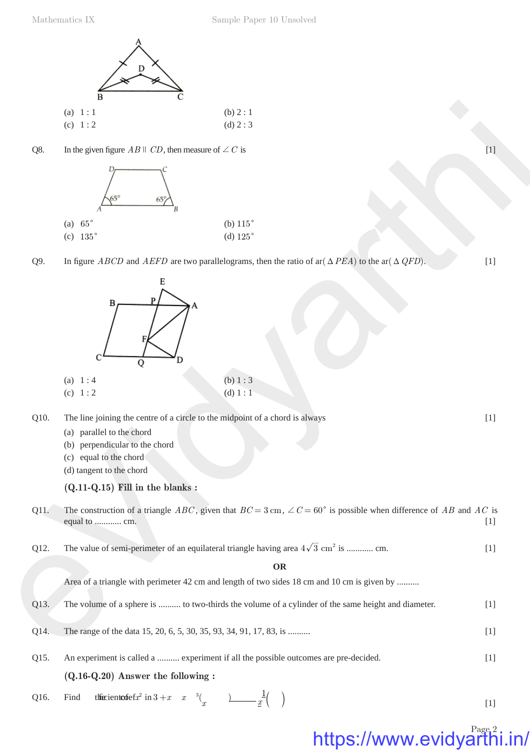Mathematics IX Sample Paper 10 Unsolved





Q9. In figure *ABCD* and *AEFD* are two parallelograms, then the ratio of ar( $\triangle PEA$ ) to the ar( $\triangle QFD$ ). [1]



Q10. The line joining the centre of a circle to the midpoint of a chord is always [1]

- (a) parallel to the chord
- (b) perpendicular to the chord
- (c) equal to the chord
- (d) tangent to the chord

### **(Q.11-Q.15) Fill in the blanks :**

- Q11. The construction of a triangle *ABC*, given that  $BC = 3$  cm,  $\angle C = 60^{\circ}$  is possible when difference of *AB* and *AC* is equal to ............ cm. [1]
- Q12. The value of semi-perimeter of an equilateral triangle having area  $4\sqrt{3}$  cm<sup>2</sup> is ............ cm. [1]

**OR**

Area of a triangle with perimeter 42 cm and length of two sides 18 cm and 10 cm is given by .........

- Q13. The volume of a sphere is .......... to two-thirds the volume of a cylinder of the same height and diameter. [1]
- Q14. The range of the data 15, 20, 6, 5, 30, 35, 93, 34, 91, 17, 83, is ..........
- **(Q.16-Q.20) Answer the following :** Q15. An experiment is called a .......... experiment if all the possible outcomes are pre-decided. [1]
- Q16. Find the cient of  $\operatorname{cf} x^2$  in  $3 + x \quad x \quad \binom{3}{x}$  <u>)</u>  $\frac{1}{x}$   $\frac{1}{x}$   $\left( \begin{array}{c} 1 \end{array} \right)$

Page<sub>2</sub> https://www.evidyarth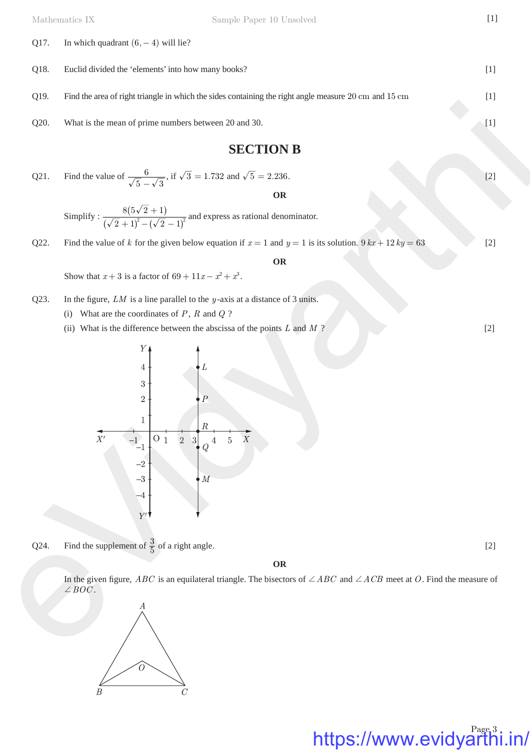| Q17. | In which quadrant $(6, -4)$ will lie?                                                                                                                                                                                                                      |       |  |
|------|------------------------------------------------------------------------------------------------------------------------------------------------------------------------------------------------------------------------------------------------------------|-------|--|
| Q18. | Euclid divided the 'elements' into how many books?<br>$[1]$                                                                                                                                                                                                |       |  |
| Q19. | Find the area of right triangle in which the sides containing the right angle measure 20 cm and 15 cm                                                                                                                                                      | $[1]$ |  |
| Q20. | What is the mean of prime numbers between 20 and 30.                                                                                                                                                                                                       |       |  |
|      | <b>SECTION B</b>                                                                                                                                                                                                                                           |       |  |
| Q21. | Find the value of $\frac{6}{\sqrt{5}-\sqrt{3}}$ , if $\sqrt{3} = 1.732$ and $\sqrt{5} = 2.236$ .                                                                                                                                                           | $[2]$ |  |
|      | <b>OR</b><br>Simplify : $\frac{8(5\sqrt{2}+1)}{(\sqrt{2}+1)^2-(\sqrt{2}-1)^2}$ and express as rational denominator.                                                                                                                                        |       |  |
| Q22. | Find the value of k for the given below equation if $x = 1$ and $y = 1$ is its solution. $9kx + 12ky = 63$                                                                                                                                                 | $[2]$ |  |
|      | <b>OR</b>                                                                                                                                                                                                                                                  |       |  |
|      | Show that $x+3$ is a factor of $69 + 11x - x^2 + x^3$ .                                                                                                                                                                                                    |       |  |
| Q23. | In the figure, $LM$ is a line parallel to the $y$ -axis at a distance of 3 units.<br>What are the coordinates of $P$ , $R$ and $Q$ ?<br>(i)<br>(ii) What is the difference between the abscissa of the points $L$ and $M$ ?                                | $[2]$ |  |
|      | $Y\downarrow$<br>$\overline{4}$<br>$\sqrt{3}$<br>$\sqrt{2}$<br>Р<br>1<br>R<br>$\overline{X'}$<br>$\boldsymbol{X}$<br>O <sub>1</sub><br>$\sqrt{2}$<br>$\overline{5}$<br>$^{-1}$ <sup>-1</sup><br>3<br>4<br>$-2\,$<br>$-3\,$<br>$\overline{M}$<br>$-4$<br>Y' |       |  |
| Q24. | Find the supplement of $\frac{3}{5}$ of a right angle.                                                                                                                                                                                                     | $[2]$ |  |
|      | OR                                                                                                                                                                                                                                                         |       |  |
|      | In the given figure, <i>ABC</i> is an equilateral triangle. The bisectors of $\angle ABC$ and $\angle ACB$ meet at O. Find the measure of<br>$\angle BOC.$<br>А                                                                                            |       |  |

Q24. Find the supplement of  $\frac{3}{5}$  of a right angle. [2]

https://www.evidyarthi.in/

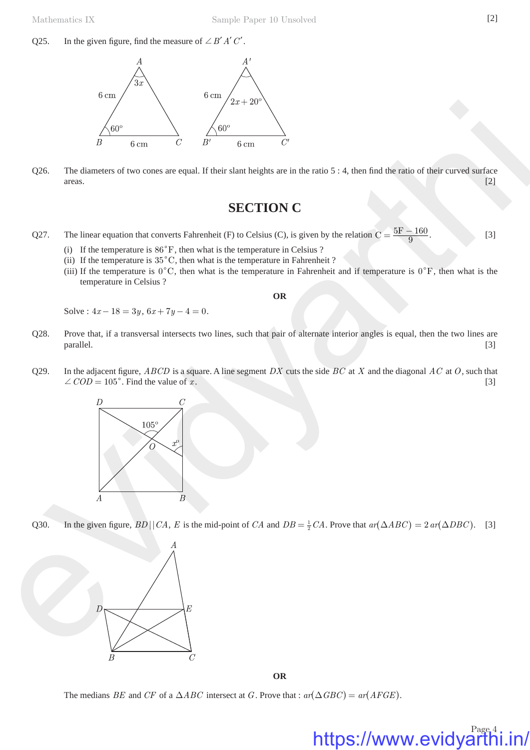Q25. In the given figure, find the measure of  $\angle B'A'C'$ .



Q26. The diameters of two cones are equal. If their slant heights are in the ratio  $5:4$ , then find the ratio of their curved surface areas. [2]

# **SECTION C**

- Q27. The linear equation that converts Fahrenheit (F) to Celsius (C), is given by the relation  $C = \frac{5F 160}{9}$ . [3]
	- (i) If the temperature is  $86^\circ$ F, then what is the temperature in Celsius ?
	- (ii) If the temperature is  $35^{\circ}$ C, then what is the temperature in Fahrenheit ?
	- (iii) If the temperature is  $0^{\circ}$ C, then what is the temperature in Fahrenheit and if temperature is  $0^{\circ}$ F, then what is the temperature in Celsius ?

**OR**

Solve :  $4x - 18 = 3y$ ,  $6x + 7y - 4 = 0$ .

- Q28. Prove that, if a transversal intersects two lines, such that pair of alternate interior angles is equal, then the two lines are parallel. [3] **parallel**. [3] **[3] parallel**. [3] **[3] parallel**. **[3] parallel**.
- Q29. In the adjacent figure, *ABCD* is a square. A line segment *DX* cuts the side *BC* at *X* and the diagonal *AC* at *O*, such that  $\angle COD = 105^\circ$ . Find the value of *x*. [3]



Q30. In the given figure,  $BD \mid |CA, E$  is the mid-point of *CA* and  $DB = \frac{1}{2} CA$ . Prove that  $ar(\triangle ABC) = 2 ar(\triangle DBC)$ . [3]



**OR**

The medians *BE* and *CF* of a  $\triangle ABC$  intersect at *G*. Prove that :  $ar(\triangle GBC) = ar(AFGE)$ .

# https://www.evidyarthi.in/